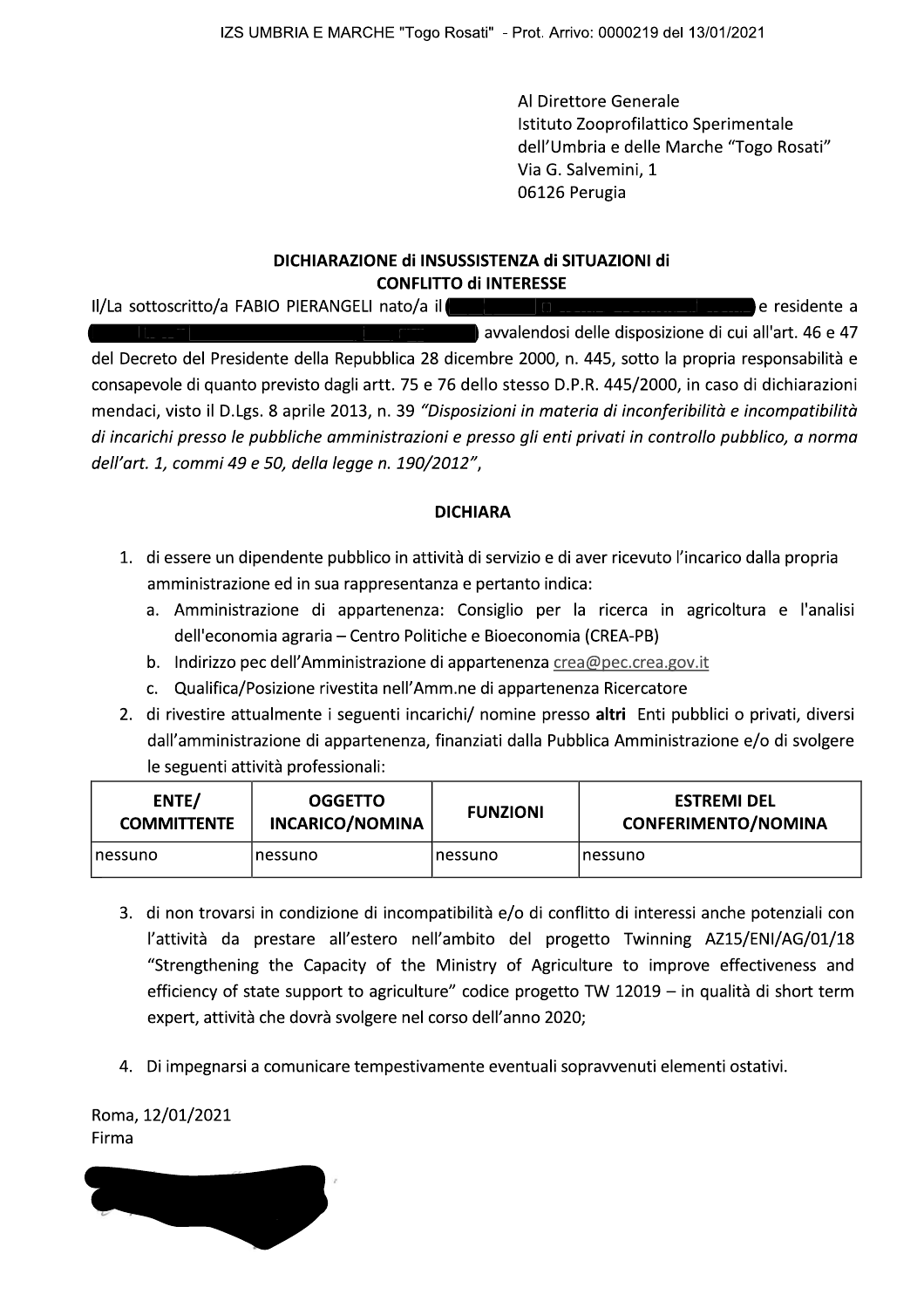**Example 2018** All Direttore Generale Istituto Zooprofilattico Sperimentale<br>dell'Umbria e delle Marche "Togo Rosati" =11&1'11 :¨6¡ª6141'1 {~³|}~}{~~}´µ~}©¦¥}¶| 2&<ª/14'5+ (\*+?\*"1:C<sup>z</sup>

## DICHIARAZIONE dI INSUSSISTENZA dI SITUAZIONI dI CONFLITTO di INTERESSE

SHIPUmbria e delle Marche "Togo Rosati"<br>
Via G. Salvemini, 1<br>
16126 Perugia<br>
DICHIARAZIONE di INSUSSISTENZA di SITUAZIONI di<br>
CONFILITO di INTERESSE<br>
1/La sottoscritto/a FABIO PIERANGELI nato/a il<br>
conservole di quanto pre (all Umbria e delle Marche "Togo Rosati"<br>
via G. Salvemini, 1<br>
06126 Perugia<br>
DICHIARAZIONE di INSUSSISTENZA di SITUAZIONI di<br>
cONFLITTO di INTERESSE<br>
Il/La sottoscritto/a FABIO PIERANGELI nato/a il<br>
avvalendosi delle disp

## DICHIARA

- -
	-
	-
- mendaci, visto il D.Lgs. 8 aprile 2013, n. 39 "Disposizioni in materia di inconferibilità e incompatibilità<br>
di incarichi presso le pubbliche amministrazioni e presso gli enti privati in controllo pubblico, a norma<br>
dell'

|                             | amministrazione ed in sua rappresentanza e pertanto indica:<br>dell'economia agraria – Centro Politiche e Bioeconomia (CREA-PB) |                 | 1. di essere un dipendente pubblico in attività di servizio e di aver ricevuto l'incarico dalla propria<br>a. Amministrazione di appartenenza: Consiglio per la ricerca in agricoltura e l'analisi        |
|-----------------------------|---------------------------------------------------------------------------------------------------------------------------------|-----------------|-----------------------------------------------------------------------------------------------------------------------------------------------------------------------------------------------------------|
| b.                          | Indirizzo pec dell'Amministrazione di appartenenza crea@pec.crea.gov.it                                                         |                 |                                                                                                                                                                                                           |
|                             | c. Qualifica/Posizione rivestita nell'Amm.ne di appartenenza Ricercatore<br>le seguenti attività professionali:                 |                 | 2. di rivestire attualmente i seguenti incarichi/ nomine presso altri Enti pubblici o privati, diversi<br>dall'amministrazione di appartenenza, finanziati dalla Pubblica Amministrazione e/o di svolgere |
| ENTE/<br><b>COMMITTENTE</b> | <b>OGGETTO</b><br><b>INCARICO/NOMINA</b>                                                                                        | <b>FUNZIONI</b> | <b>ESTREMI DEL</b><br><b>CONFERIMENTO/NOMINA</b>                                                                                                                                                          |

- C. Qualifica/Posizione rivestita nell'Amm.ne di appartenenza Ricercatore<br>
2. di rivestire attualmente i seguenti incarichi/ nomine presso altri Enti pubblici o privati, diverse dall'amministrazione di appartenenza, finanzi dall'amministrazione di appartenenza, finanziati dalla Pubblica Amministrazione e/o di svolgere<br>
le seguenti attività professionali:<br> **ENTE/**<br> **COMMITTENTE**<br> **COMMITTENTE**<br> **COMMITTENTE**<br> **COMMITTENTE**<br> **COMMITTENTE**<br> **COM** Nessanno ESTREMI DEL<br>
ECOMMITTENTE COMECO/NOMINA FUNZIONI CONFERIMENTO/NOMINA<br>
THESSAND RESSAND RESSAND RESSAND RESSAND RESSAND RESSAND RESSAND RESSAND RESSAND RESSAND RESSAND RESSAND RESSAND RESSAND RESSAND TRISPER CONFER 7. di non trovarsi in condizione di incompatibilità e/o di conflitto di interessi anche potenziali con<br>
1/attività da prestare all'estero nell'ambito del progetto Twinning AZ15/ENI/AG/01/18<br>
"Strengthening the Capacity of
	-

Roma, 12/01/2021<br>Firma Firma de la construcción de la construcción de la construcción de la construcción de la construcción de la con<br>En la construcción de la construcción de la construcción de la construcción de la construcción de la construcc